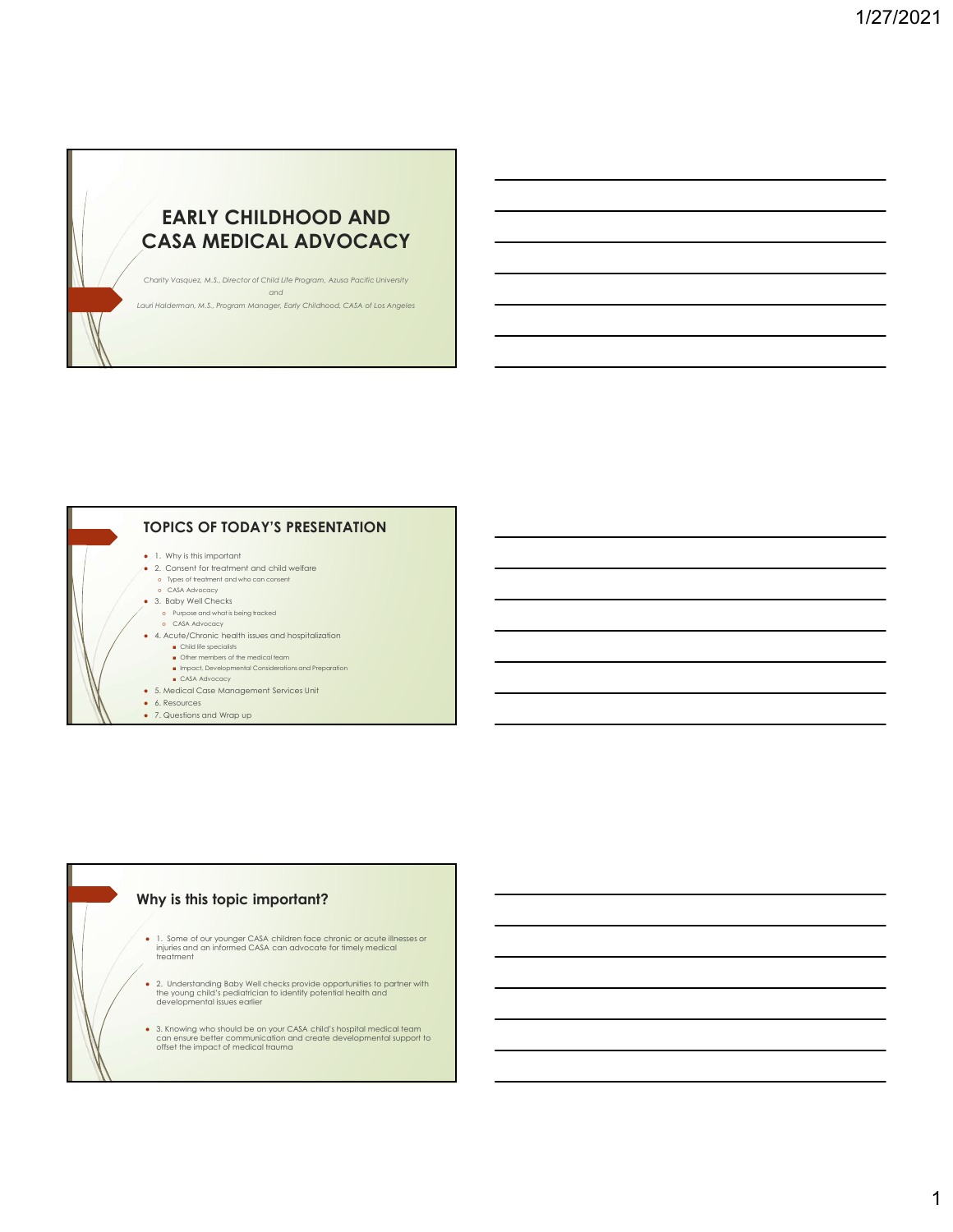## EARLY CHILDHOOD AND CASA MEDICAL ADVOCACY

Charity Vasquez, M.S., Director of Child Life Program, Azusa Pacific University and Lauri Halderman, M.S., Program Manager, Early Childhood, CASA of Los Angeles



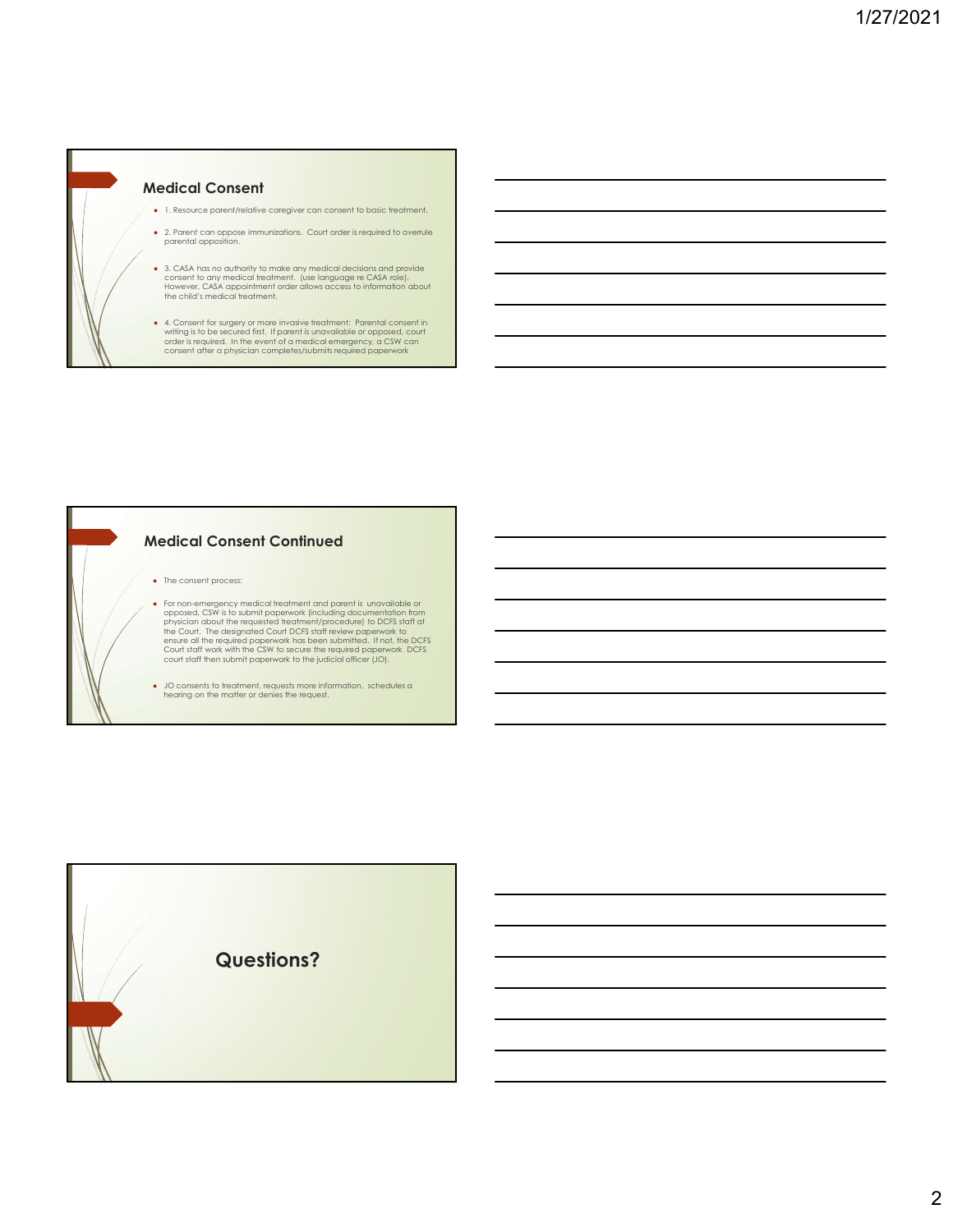

#### Medical Consent Continued

- The consent process:
- For one-emergency medical teteration and parent is unavailable or<br>poposed, CSW is to submit papework (including documentation from<br>physician about the requested teadment/procedure) to DCFS staff at<br>the Court. The designa
- JO consents to treatment, requests more information, schedules a hearing on the matter or denies the request.

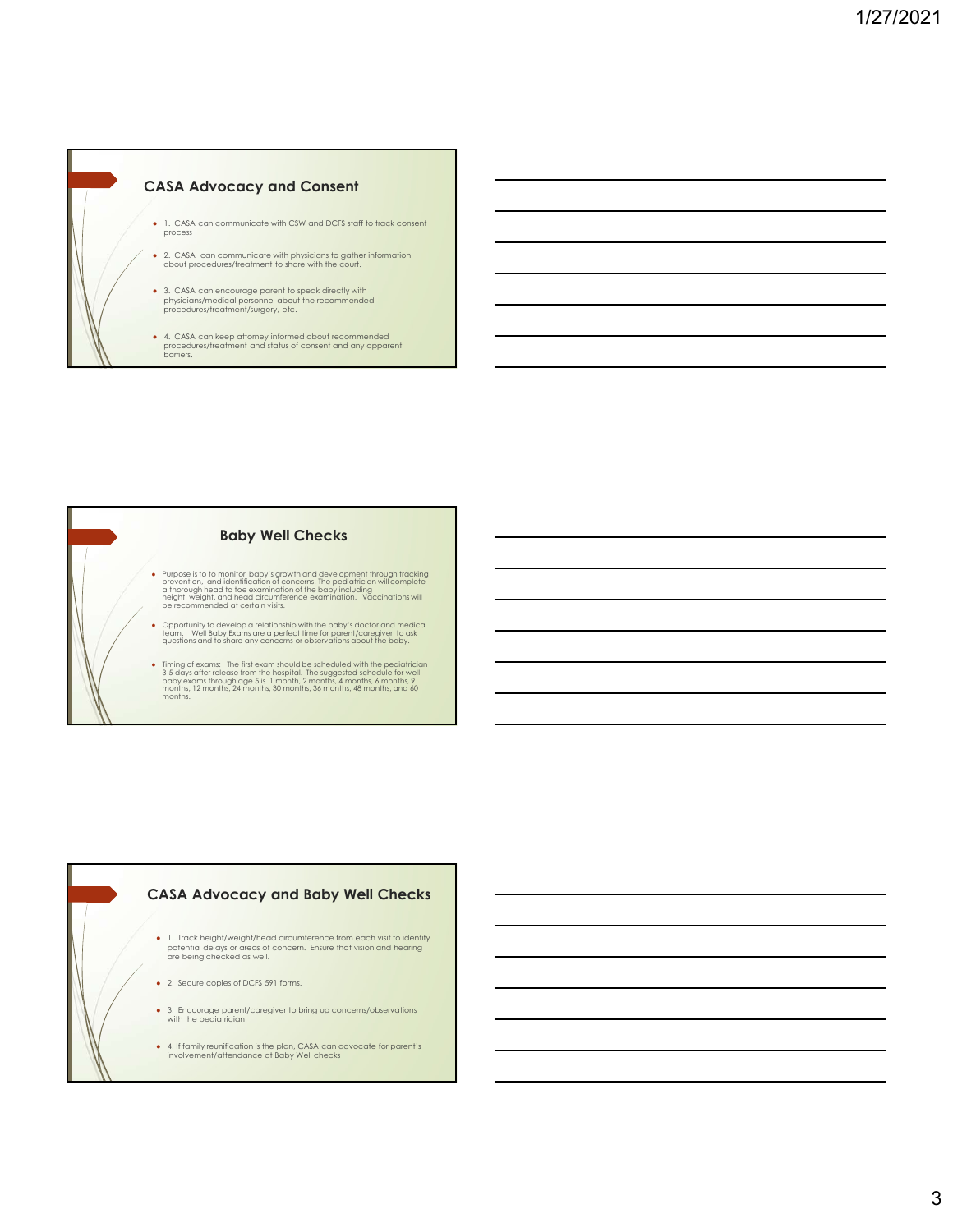



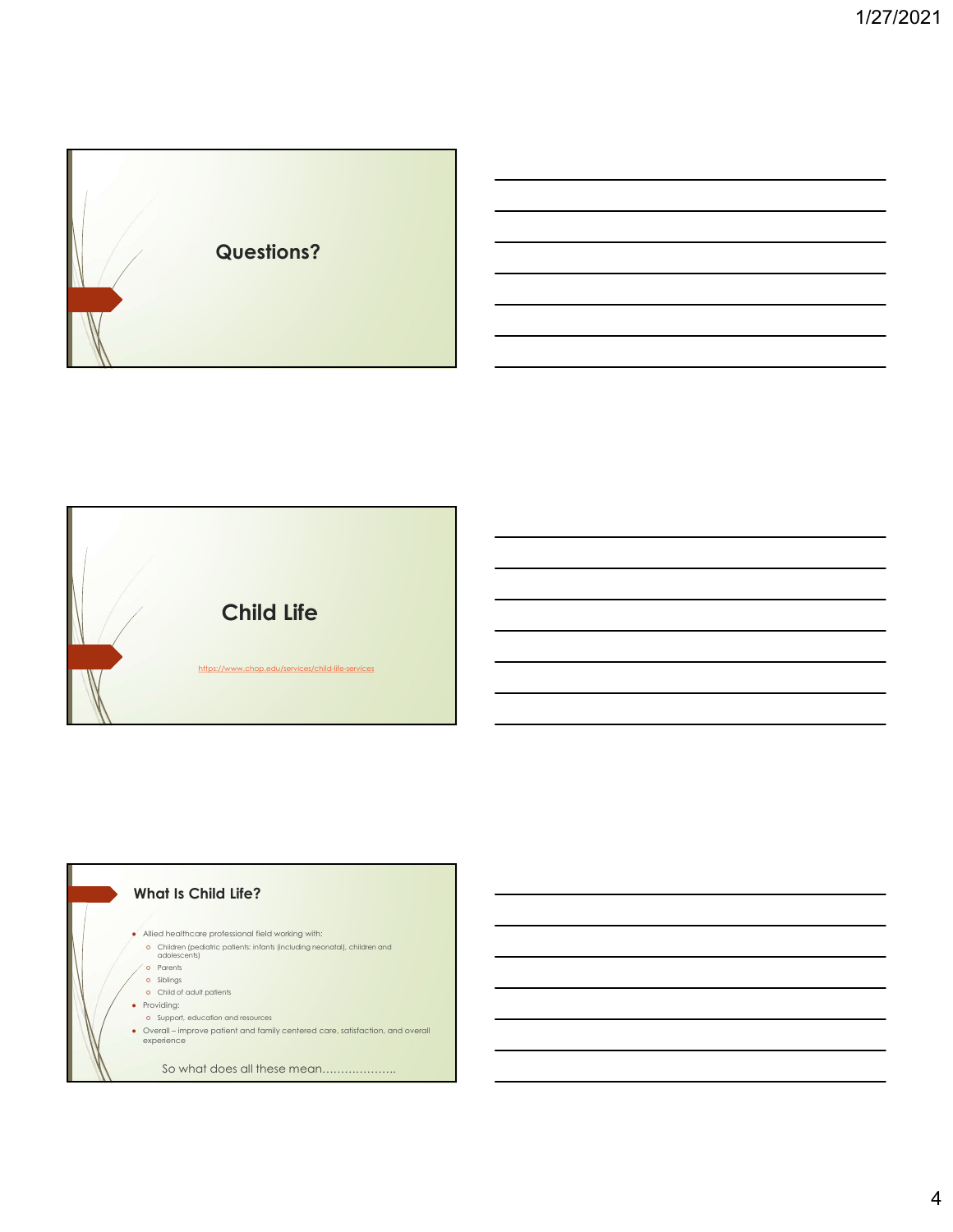



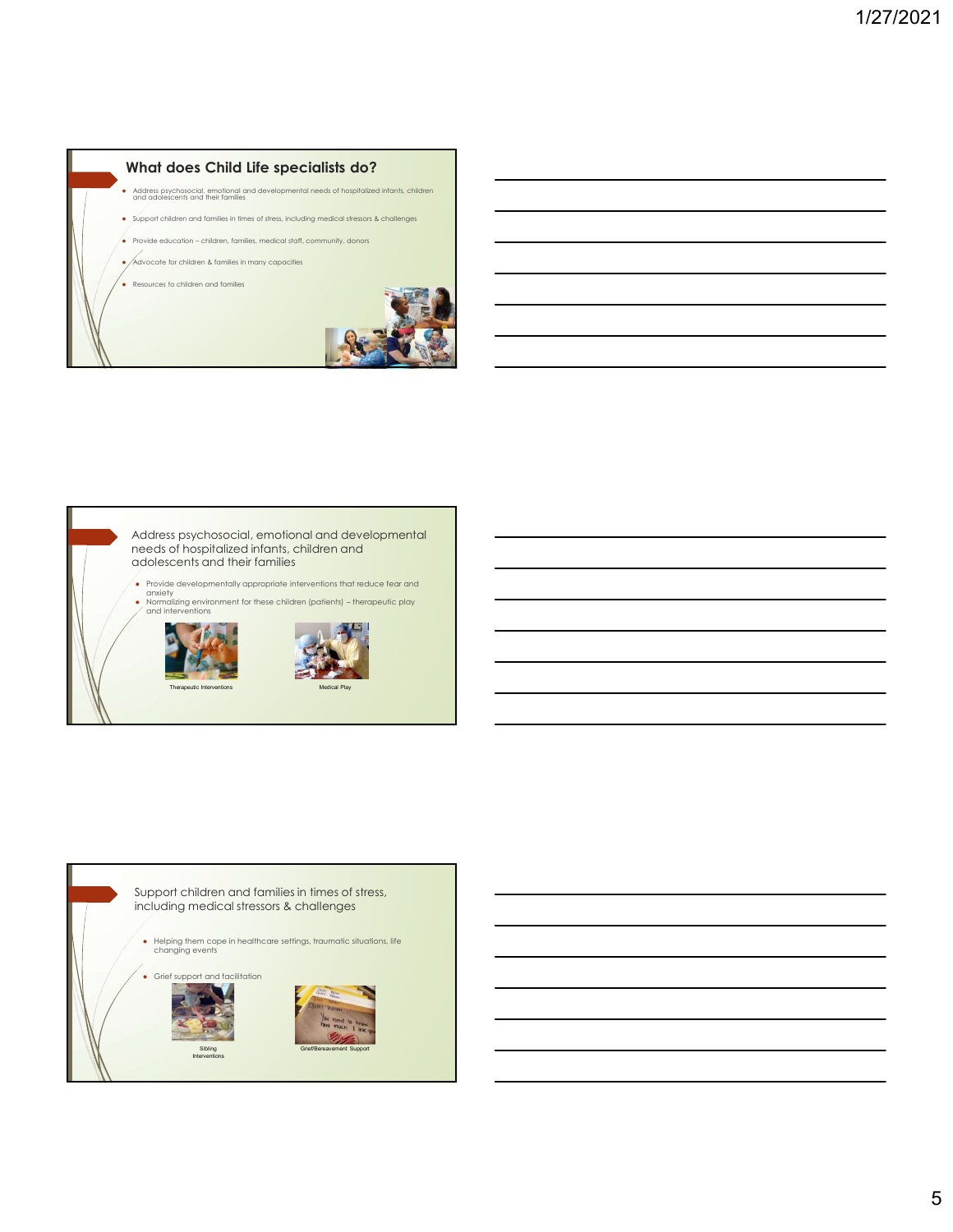### What does Child Life specialists do?

Address psychosocial, emotional and developmental needs of hospitalized infants, children<br>and adolescents and their families

- Support children and families in times of stress, including medical stressors & challenges
- 
- 
- 





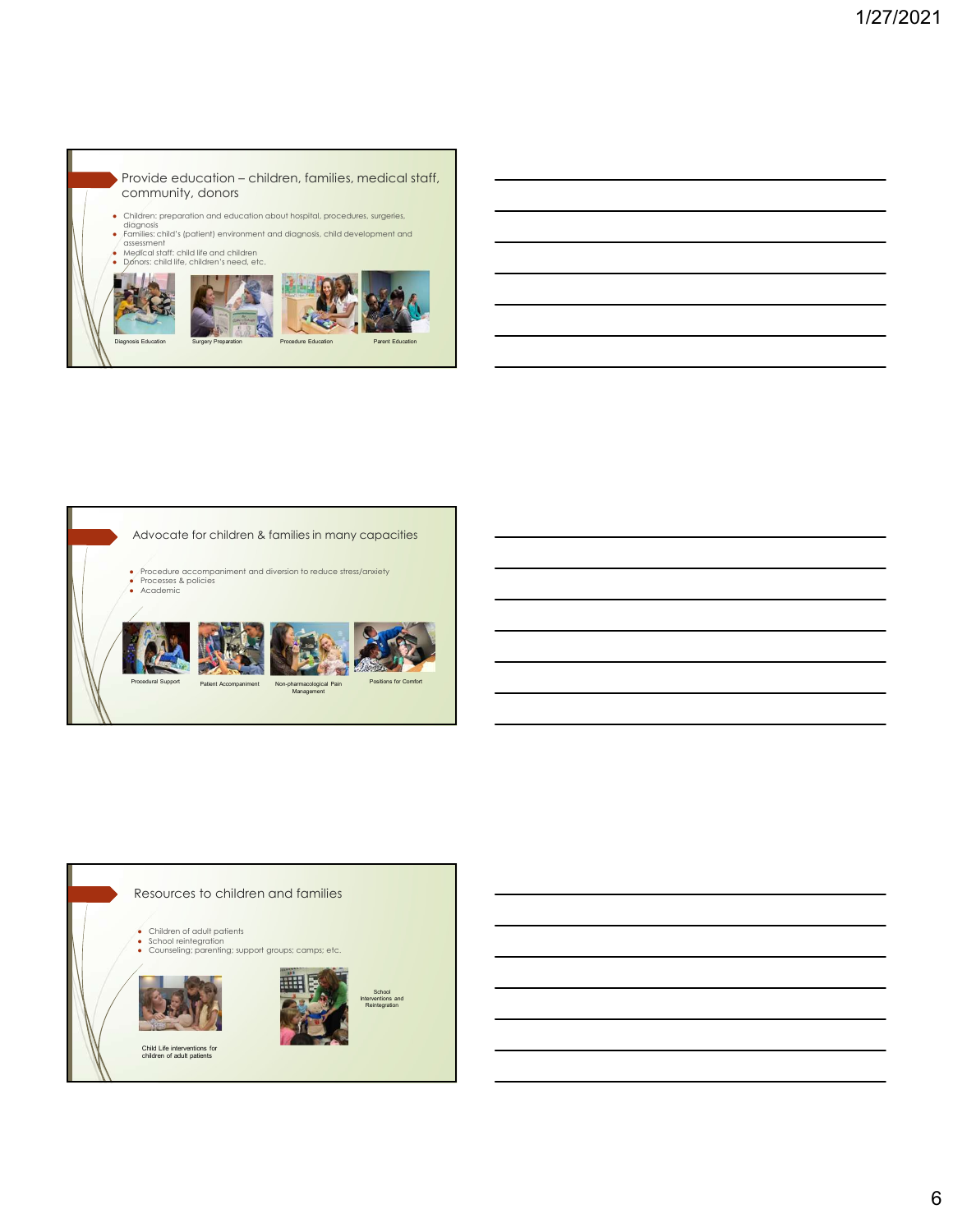Provide education – children, families, medical staff,<br>community, donors<br>children, represidion about hospital, procedures, surgeries,<br>diagnosis<br>families, child (splietin) environment and alognosis, child development and<br>be community, donors

- 
- Children; preparation and education about hospital, procedures, surgeries,<br>diagnosis<br>• Families: child's (patient) environment and diagnosis, child development and<br>• Medical staff: child life and children<br>• Dónors: child
- 
- 





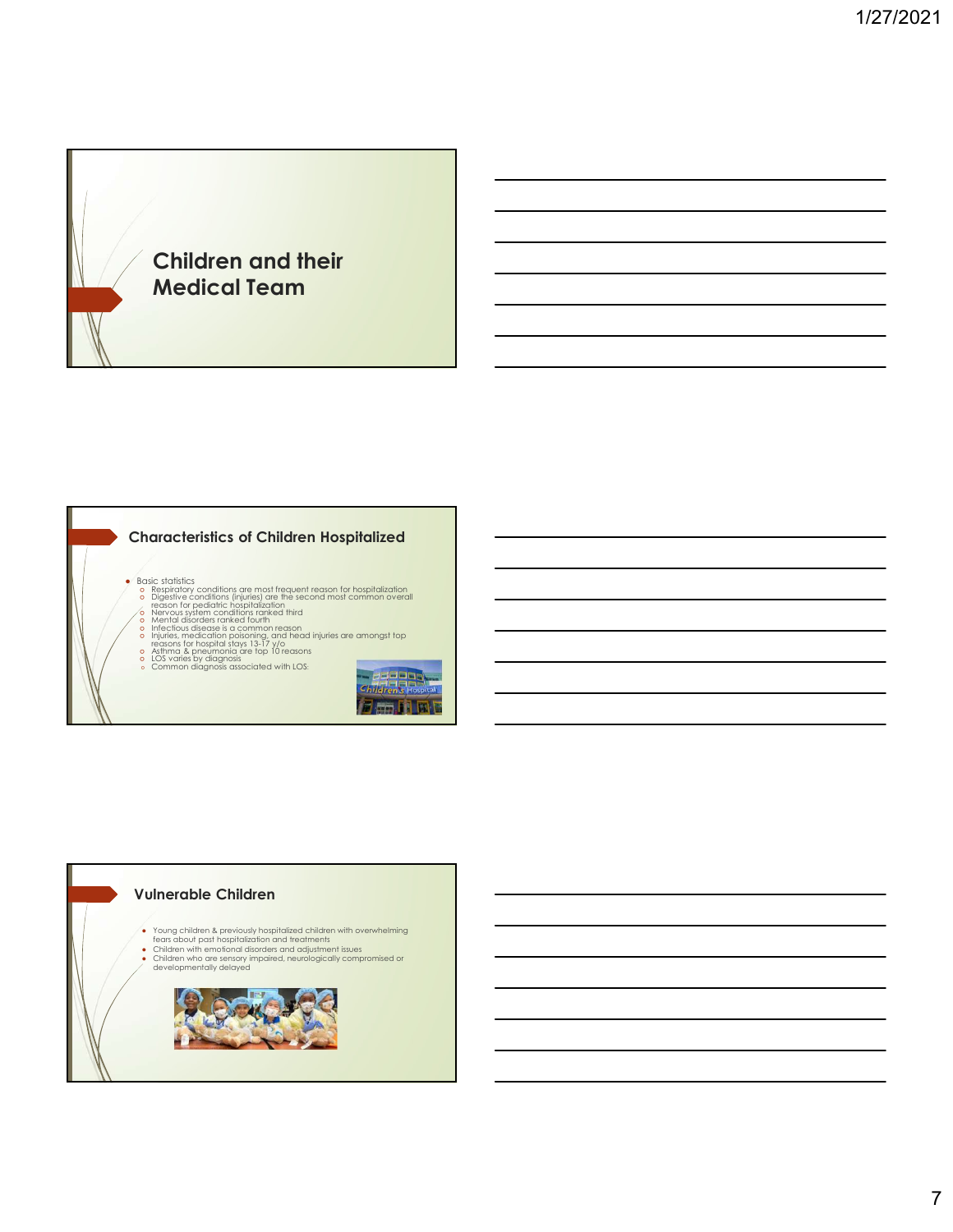

#### Characteristics of Children Hospitalized

- Basic statistics<br>
 consistentions (injuries) are the second most common overall<br>
 Digestive conditions (injuries) are the second most common overall<br>
 ceason for pediations criminals ranked third<br>
 Menvous system con
- 
- 
- 
- 
- o Asthma & pneumonia are top 10 reasons <br>○ LOS varies by diagnosis associated with LOS: <br>○ Common diagnosis associated with LOS:



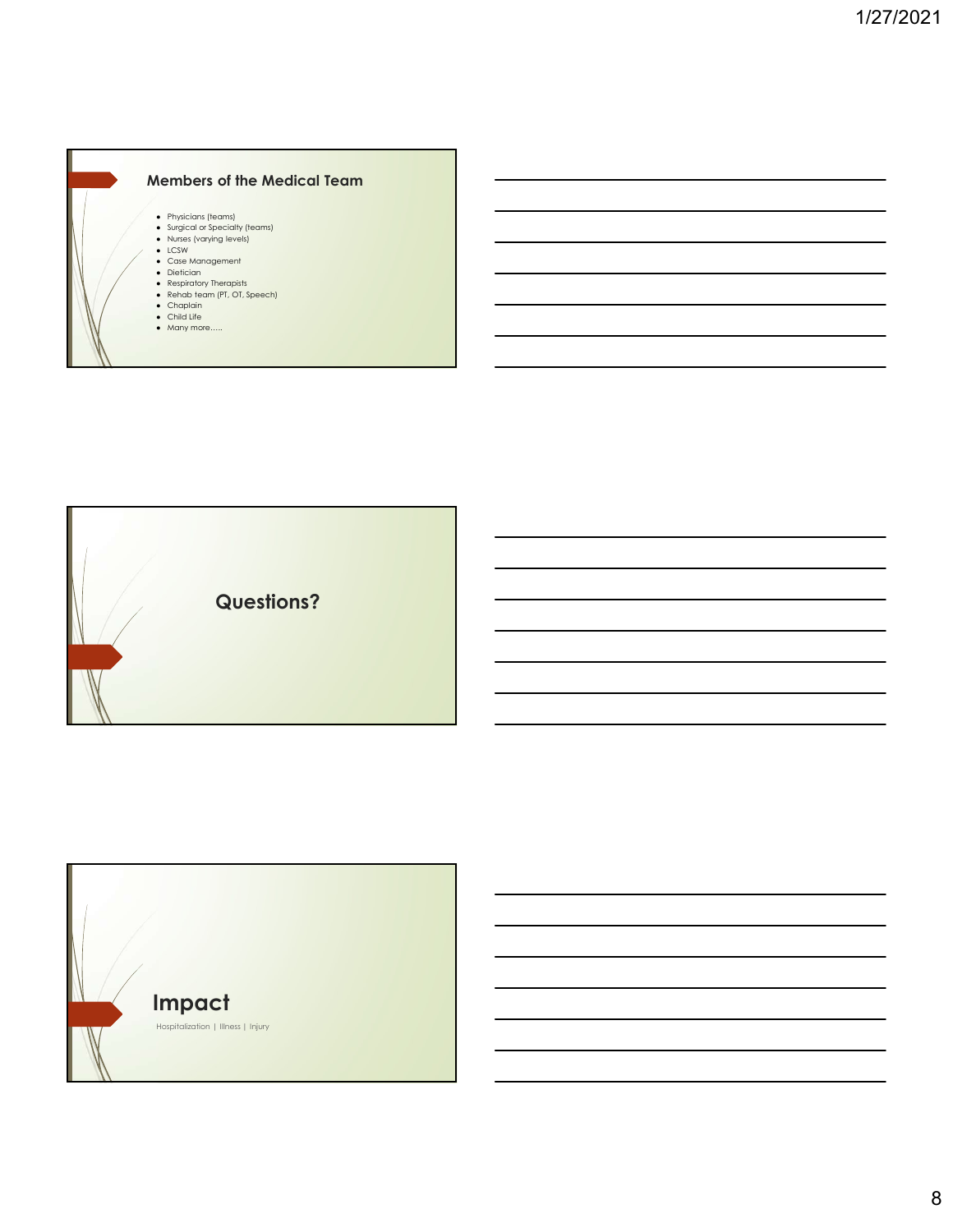



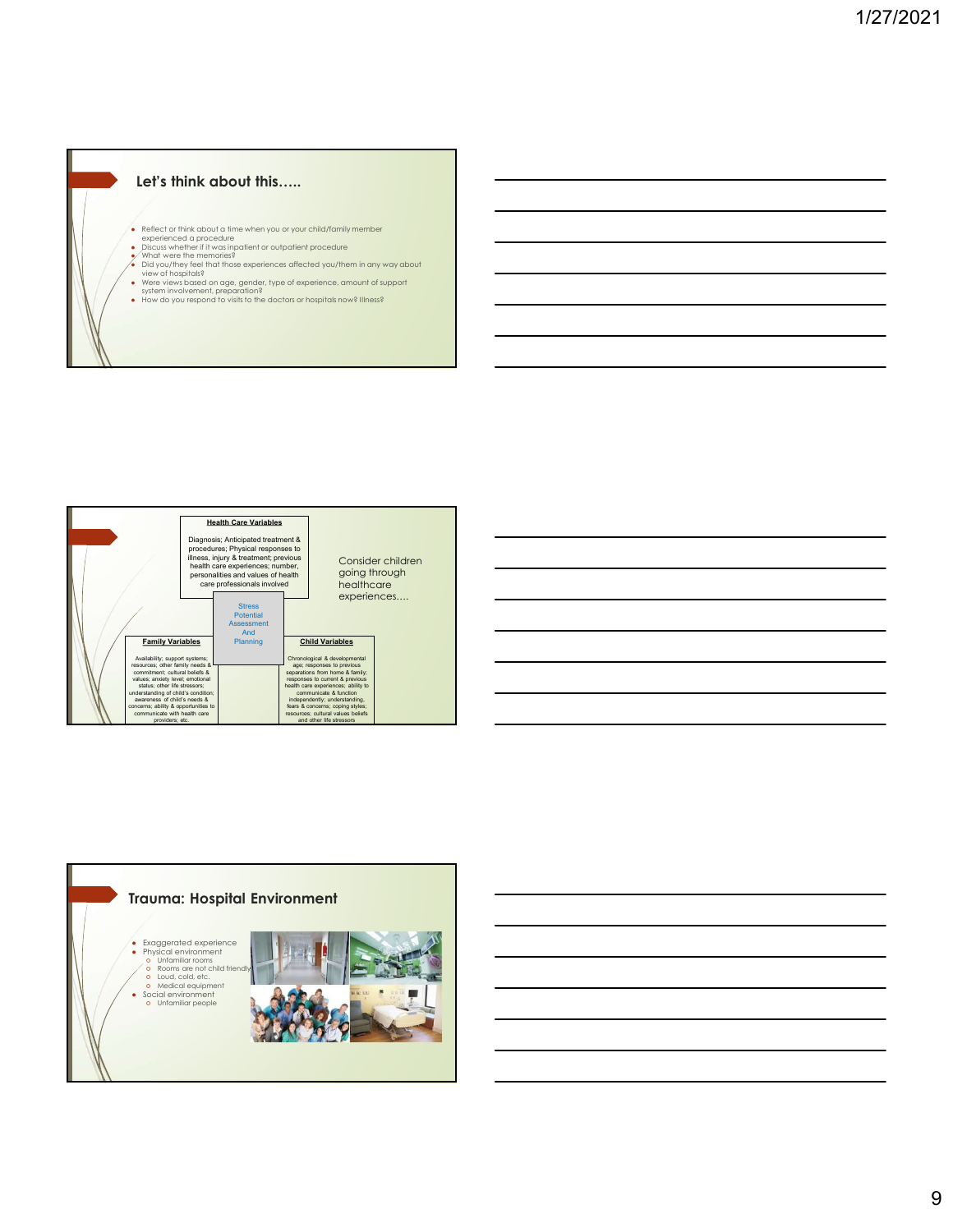#### Let's think about this.....

- 
- 
- 
- Reflect or think about a time when you or your child/family member<br>• places whether if it was inpatient or outpatient procedure<br>• What were the memories?<br>• Did you/they feel that those experiences affected you/them in an
- 
- Were views based on age, gender, type of experience, amount of support<br>system involvement, preparation?<br>● How do you respond to visits to the doctors or hospitals now? Illness?
- 





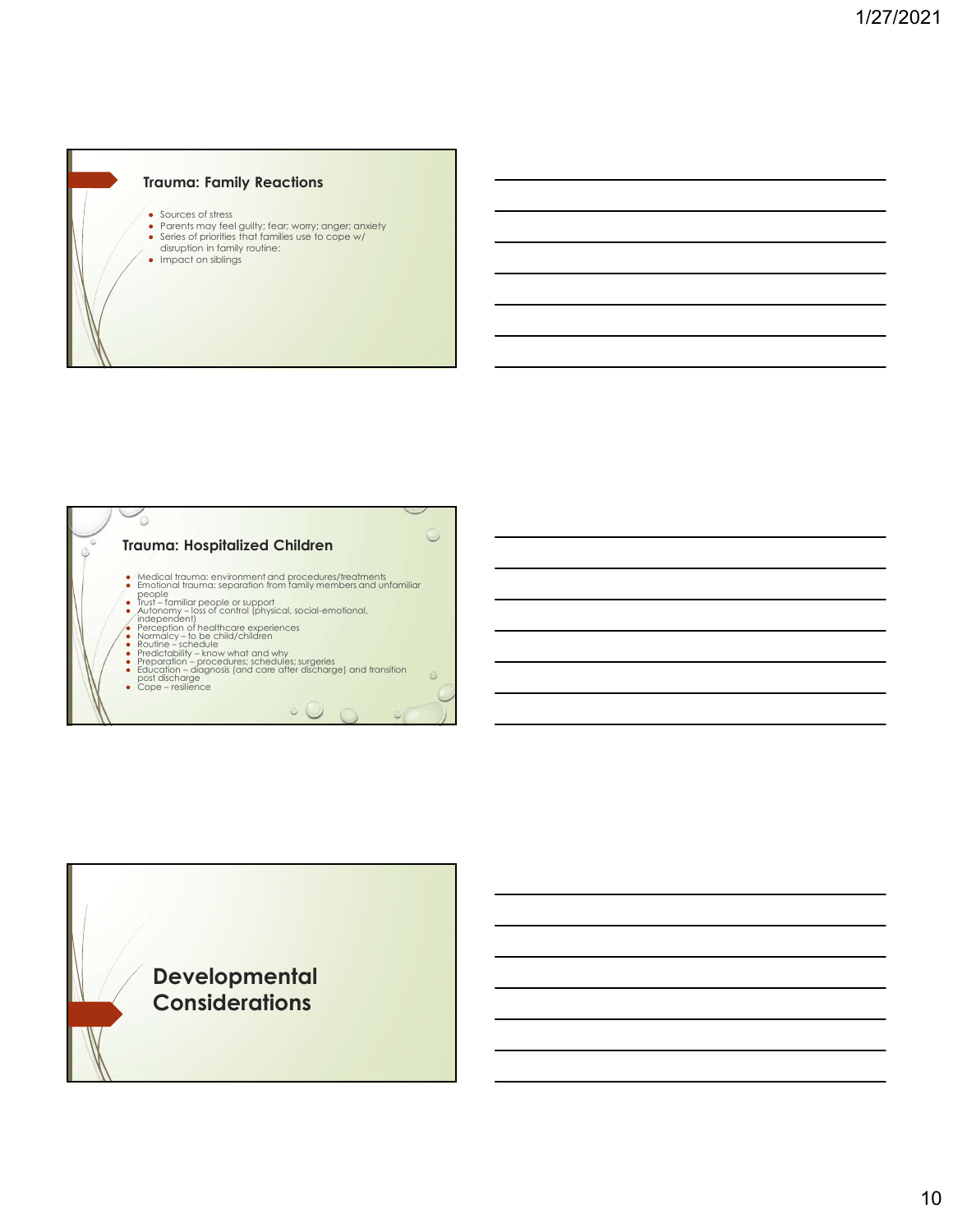

- 
- Sources of stress<br>
 Parents may feel guilty; fear; worry; anger; anxiety<br>
↓ Series of priorities that families use to cope w/<br>
disruption in family routine:<br>● Impact on siblings
- 
- 



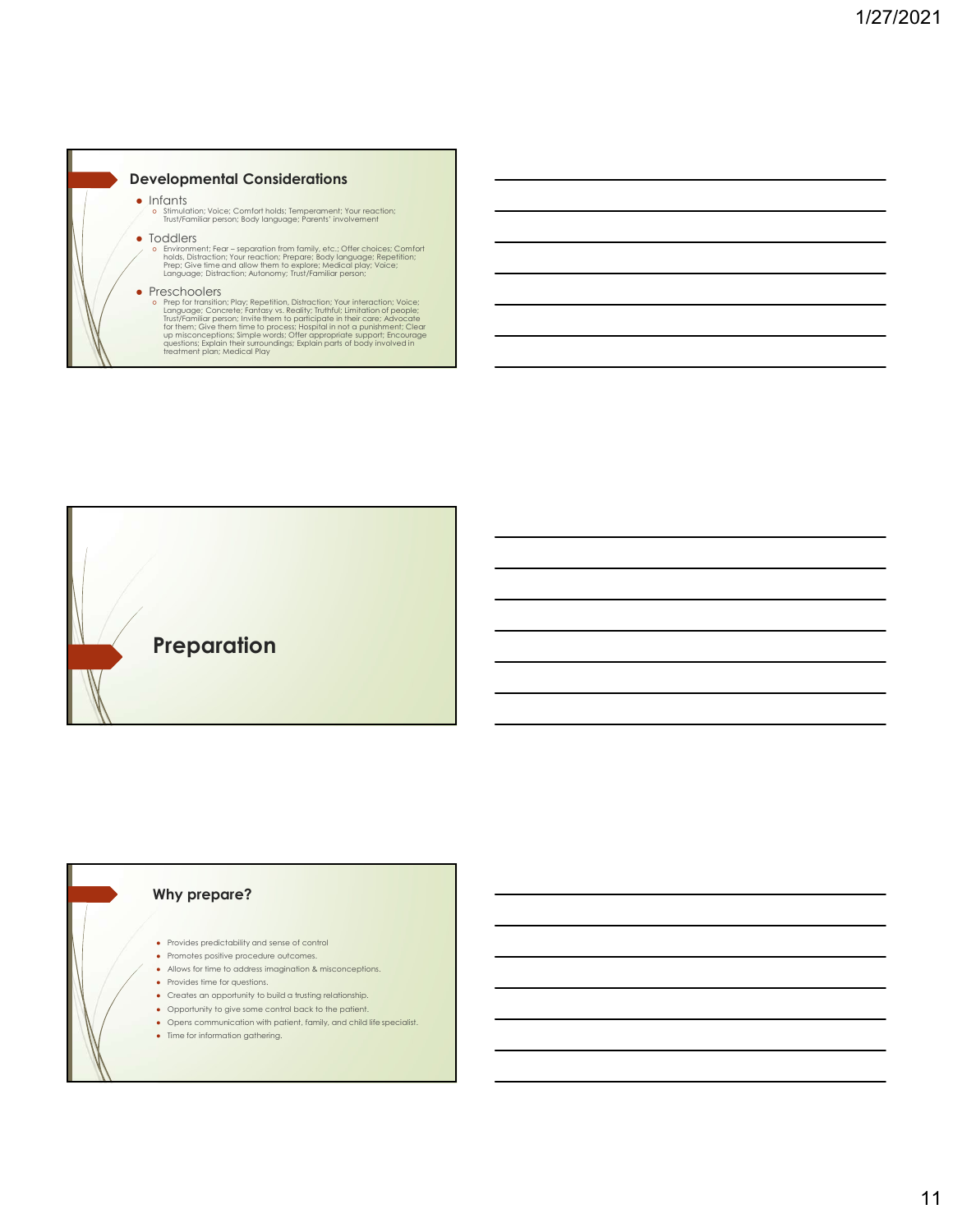#### Developmental Considerations

- 
- Infants<br>● Stimulation; Voice; Comfort holds; Temperament; Your reaction;<br>Trust/Familiar person; Body language; Parents' involvement
- Toddlers  **Toddlers** Toddlers Toddlers  **Toddlers** 
	- holds, Distraction; Your reaction; Prepare; Body language; Repetition;<br>Prep; Give time and allow them to explore; Medical play; Voice;<br>Language; Distraction; Autonomy; Trust/Familiar person;

**velopmental Considerations**<br>
of simulation: vision candrations, temperament; Your receitor;<br>
binding the separation from family and collections of the choices; Comfort<br>
in Fear – separation from family, etc.; Offer choice • Preschoolers<br>
• Preschoolers<br>
• Perfor transition, Play; Repetition, Distraction; Your interaction; Voice;<br>
• Language; Concrete; Fantasy vs. Reality; Truthful; Limitation of people;<br>
• Trust/Familiar person; Invite them



#### Why prepare?

- Provides predictability and sense of control
- Promotes positive procedure outcomes.
- Allows for time to address imagination & misconceptions.
- Provides time for questions.
- Creates an opportunity to build a trusting relationship.
- Opportunity to give some control back to the patient.
- Opens communication with patient, family, and child life specialist.
- Time for information gathering.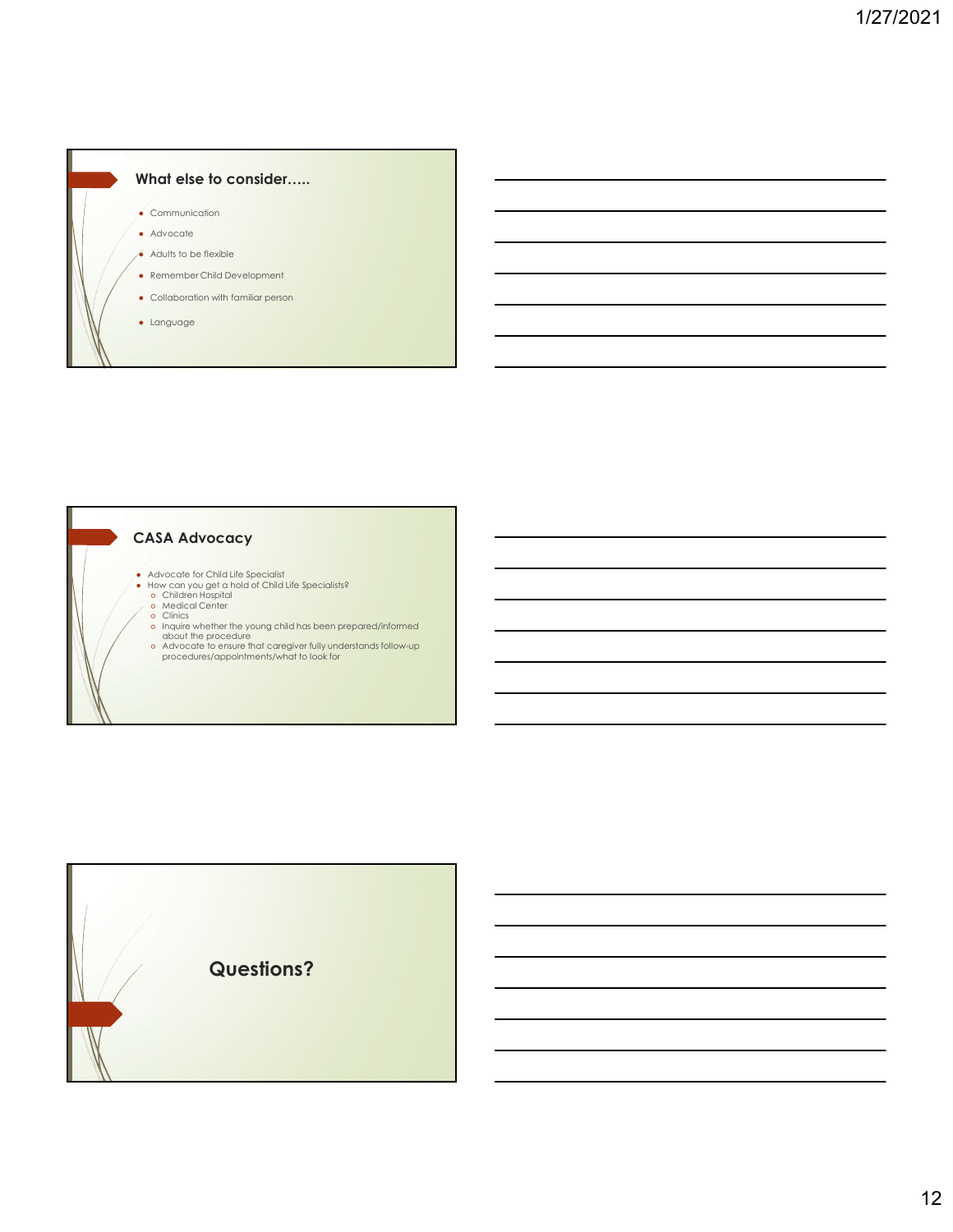# What else to consider.....

- $\bullet$  Communication
- Advocate
- $\bullet$  Adults to be flexible
- Remember Child Development
- Collaboration with familiar person
- Language

#### CASA Advocacy

- 
- 
- 
- 
- Advocate for Child Life Specialist<br>• How can you get a hold of Child Life Specialists?<br>• Children Hospital<br>• o Medical Center<br>• clinics<br>• Inquire whether the young child has been prepared/informed<br>• chavocate to ensure t
	-